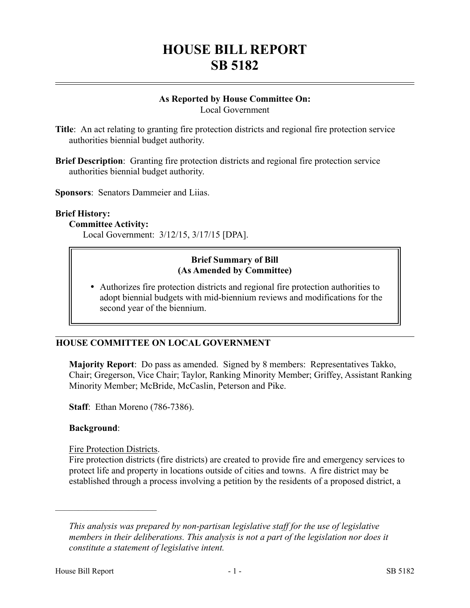# **HOUSE BILL REPORT SB 5182**

# **As Reported by House Committee On:**

Local Government

- **Title**: An act relating to granting fire protection districts and regional fire protection service authorities biennial budget authority.
- **Brief Description**: Granting fire protection districts and regional fire protection service authorities biennial budget authority.

**Sponsors**: Senators Dammeier and Liias.

#### **Brief History:**

#### **Committee Activity:**

Local Government: 3/12/15, 3/17/15 [DPA].

### **Brief Summary of Bill (As Amended by Committee)**

 Authorizes fire protection districts and regional fire protection authorities to adopt biennial budgets with mid-biennium reviews and modifications for the second year of the biennium.

# **HOUSE COMMITTEE ON LOCAL GOVERNMENT**

**Majority Report**: Do pass as amended. Signed by 8 members: Representatives Takko, Chair; Gregerson, Vice Chair; Taylor, Ranking Minority Member; Griffey, Assistant Ranking Minority Member; McBride, McCaslin, Peterson and Pike.

**Staff**: Ethan Moreno (786-7386).

#### **Background**:

Fire Protection Districts.

––––––––––––––––––––––

Fire protection districts (fire districts) are created to provide fire and emergency services to protect life and property in locations outside of cities and towns. A fire district may be established through a process involving a petition by the residents of a proposed district, a

*This analysis was prepared by non-partisan legislative staff for the use of legislative members in their deliberations. This analysis is not a part of the legislation nor does it constitute a statement of legislative intent.*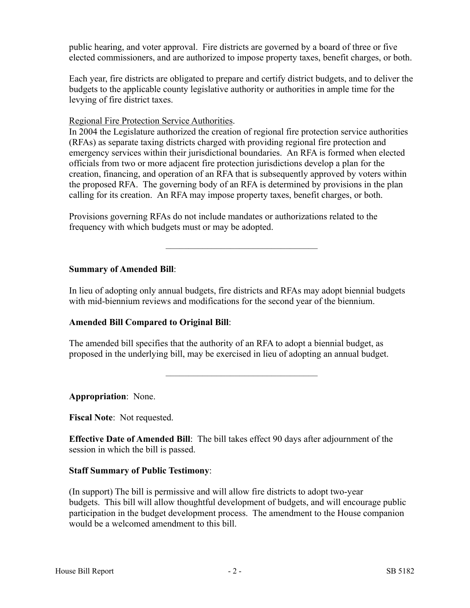public hearing, and voter approval. Fire districts are governed by a board of three or five elected commissioners, and are authorized to impose property taxes, benefit charges, or both.

Each year, fire districts are obligated to prepare and certify district budgets, and to deliver the budgets to the applicable county legislative authority or authorities in ample time for the levying of fire district taxes.

#### Regional Fire Protection Service Authorities.

In 2004 the Legislature authorized the creation of regional fire protection service authorities (RFAs) as separate taxing districts charged with providing regional fire protection and emergency services within their jurisdictional boundaries. An RFA is formed when elected officials from two or more adjacent fire protection jurisdictions develop a plan for the creation, financing, and operation of an RFA that is subsequently approved by voters within the proposed RFA. The governing body of an RFA is determined by provisions in the plan calling for its creation. An RFA may impose property taxes, benefit charges, or both.

Provisions governing RFAs do not include mandates or authorizations related to the frequency with which budgets must or may be adopted.

#### **Summary of Amended Bill**:

In lieu of adopting only annual budgets, fire districts and RFAs may adopt biennial budgets with mid-biennium reviews and modifications for the second year of the biennium.

–––––––––––––––––––––––––––––––––

## **Amended Bill Compared to Original Bill**:

The amended bill specifies that the authority of an RFA to adopt a biennial budget, as proposed in the underlying bill, may be exercised in lieu of adopting an annual budget.

–––––––––––––––––––––––––––––––––

**Appropriation**: None.

**Fiscal Note**: Not requested.

**Effective Date of Amended Bill**: The bill takes effect 90 days after adjournment of the session in which the bill is passed.

## **Staff Summary of Public Testimony**:

(In support) The bill is permissive and will allow fire districts to adopt two-year budgets. This bill will allow thoughtful development of budgets, and will encourage public participation in the budget development process. The amendment to the House companion would be a welcomed amendment to this bill.